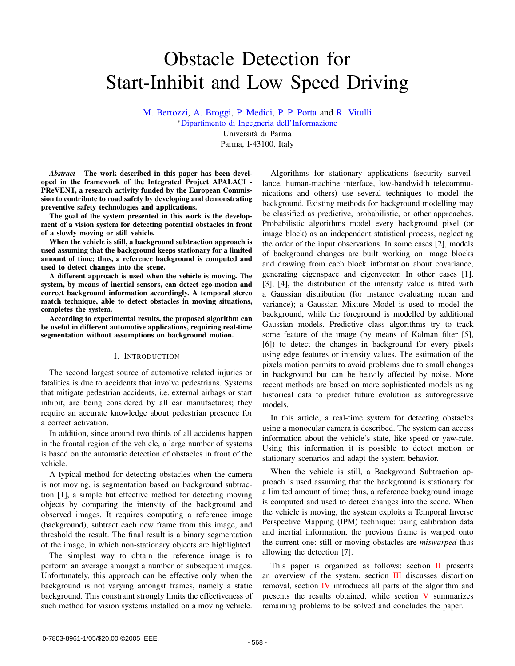# Obstacle Detection for Start-Inhibit and Low Speed Driving

M. Bertozzi, A. Broggi, P. Medici, P. P. Porta and R. Vitulli <sup>∗</sup>Dipartimento di Ingegneria dell'Informazione Universita di Parma `

Parma, I-43100, Italy

*Abstract*— The work described in this paper has been developed in the framework of the Integrated Project APALACI - PReVENT, a research activity funded by the European Commission to contribute to road safety by developing and demonstrating preventive safety technologies and applications.

The goal of the system presented in this work is the development of a vision system for detecting potential obstacles in front of a slowly moving or still vehicle.

When the vehicle is still, a background subtraction approach is used assuming that the background keeps stationary for a limited amount of time; thus, a reference background is computed and used to detect changes into the scene.

A different approach is used when the vehicle is moving. The system, by means of inertial sensors, can detect ego-motion and correct background information accordingly. A temporal stereo match technique, able to detect obstacles in moving situations, completes the system.

According to experimental results, the proposed algorithm can be useful in different automotive applications, requiring real-time segmentation without assumptions on background motion.

## I. INTRODUCTION

The second largest source of automotive related injuries or fatalities is due to accidents that involve pedestrians. Systems that mitigate pedestrian accidents, i.e. external airbags or start inhibit, are being considered by all car manufactures; they require an accurate knowledge about pedestrian presence for a correct activation.

In addition, since around two thirds of all accidents happen in the frontal region of the vehicle, a large number of systems is based on the automatic detection of obstacles in front of the vehicle.

A typical method for detecting obstacles when the camera is not moving, is segmentation based on background subtraction [1], a simple but effective method for detecting moving objects by comparing the intensity of the background and observed images. It requires computing a reference image (background), subtract each new frame from this image, and threshold the result. The final result is a binary segmentation of the image, in which non-stationary objects are highlighted.

The simplest way to obtain the reference image is to perform an average amongst a number of subsequent images. Unfortunately, this approach can be effective only when the background is not varying amongst frames, namely a static background. This constraint strongly limits the effectiveness of such method for vision systems installed on a moving vehicle.

Algorithms for stationary applications (security surveillance, human-machine interface, low-bandwidth telecommunications and others) use several techniques to model the background. Existing methods for background modelling may be classified as predictive, probabilistic, or other approaches. Probabilistic algorithms model every background pixel (or image block) as an independent statistical process, neglecting the order of the input observations. In some cases [2], models of background changes are built working on image blocks and drawing from each block information about covariance, generating eigenspace and eigenvector. In other cases [1], [3], [4], the distribution of the intensity value is fitted with a Gaussian distribution (for instance evaluating mean and variance); a Gaussian Mixture Model is used to model the background, while the foreground is modelled by additional Gaussian models. Predictive class algorithms try to track some feature of the image (by means of Kalman filter [5], [6]) to detect the changes in background for every pixels using edge features or intensity values. The estimation of the pixels motion permits to avoid problems due to small changes in background but can be heavily affected by noise. More recent methods are based on more sophisticated models using historical data to predict future evolution as autoregressive models.

In this article, a real-time system for detecting obstacles using a monocular camera is described. The system can access information about the vehicle's state, like speed or yaw-rate. Using this information it is possible to detect motion or stationary scenarios and adapt the system behavior.

When the vehicle is still, a Background Subtraction approach is used assuming that the background is stationary for a limited amount of time; thus, a reference background image is computed and used to detect changes into the scene. When the vehicle is moving, the system exploits a Temporal Inverse Perspective Mapping (IPM) technique: using calibration data and inertial information, the previous frame is warped onto the current one: still or moving obstacles are *miswarped* thus allowing the detection [7].

This paper is organized as follows: section  $\mathbf I$  presents an overview of the system, section III discusses distortion removal, section IV introduces all parts of the algorithm and presents the results obtained, while section V summarizes remaining problems to be solved and concludes the paper.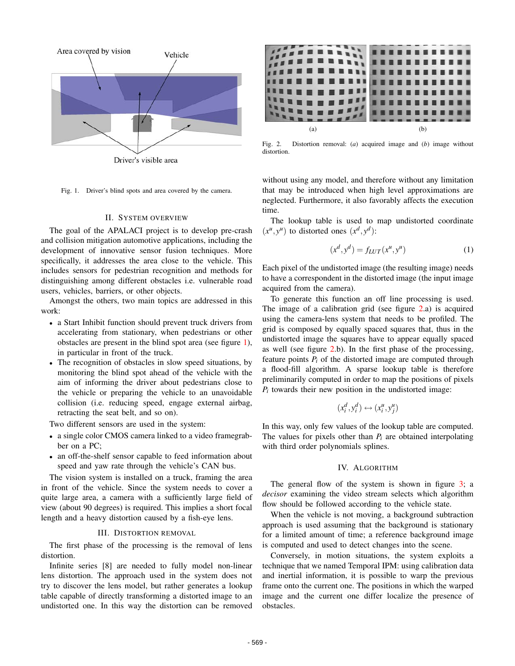

 $(a)$  (b)

Fig. 2. Distortion removal: (*a*) acquired image and (*b*) image without distortion.

Fig. 1. Driver's blind spots and area covered by the camera.

# II. SYSTEM OVERVIEW

The goal of the APALACI project is to develop pre-crash and collision mitigation automotive applications, including the development of innovative sensor fusion techniques. More specifically, it addresses the area close to the vehicle. This includes sensors for pedestrian recognition and methods for distinguishing among different obstacles i.e. vulnerable road users, vehicles, barriers, or other objects.

Amongst the others, two main topics are addressed in this work:

- a Start Inhibit function should prevent truck drivers from accelerating from stationary, when pedestrians or other obstacles are present in the blind spot area (see figure 1), in particular in front of the truck.
- The recognition of obstacles in slow speed situations, by monitoring the blind spot ahead of the vehicle with the aim of informing the driver about pedestrians close to the vehicle or preparing the vehicle to an unavoidable collision (i.e. reducing speed, engage external airbag, retracting the seat belt, and so on).

Two different sensors are used in the system:

- a single color CMOS camera linked to a video framegrabber on a PC;
- an off-the-shelf sensor capable to feed information about speed and yaw rate through the vehicle's CAN bus.

The vision system is installed on a truck, framing the area in front of the vehicle. Since the system needs to cover a quite large area, a camera with a sufficiently large field of view (about 90 degrees) is required. This implies a short focal length and a heavy distortion caused by a fish-eye lens.

# III. DISTORTION REMOVAL

The first phase of the processing is the removal of lens distortion.

Infinite series [8] are needed to fully model non-linear lens distortion. The approach used in the system does not try to discover the lens model, but rather generates a lookup table capable of directly transforming a distorted image to an undistorted one. In this way the distortion can be removed

without using any model, and therefore without any limitation that may be introduced when high level approximations are neglected. Furthermore, it also favorably affects the execution time.

The lookup table is used to map undistorted coordinate  $(x^u, y^u)$  to distorted ones  $(x^d, y^d)$ :

$$
(xd, yd) = fLUT(xu, yu)
$$
 (1)

Each pixel of the undistorted image (the resulting image) needs to have a correspondent in the distorted image (the input image acquired from the camera).

To generate this function an off line processing is used. The image of a calibration grid (see figure 2.a) is acquired using the camera-lens system that needs to be profiled. The grid is composed by equally spaced squares that, thus in the undistorted image the squares have to appear equally spaced as well (see figure 2.b). In the first phase of the processing, feature points  $P_i$  of the distorted image are computed through a flood-fill algorithm. A sparse lookup table is therefore preliminarily computed in order to map the positions of pixels  $P_i$  towards their new position in the undistorted image:

$$
(x_i^d, y_i^d) \leftrightarrow (x_i^u, y_j^u)
$$

In this way, only few values of the lookup table are computed. The values for pixels other than *P<sup>i</sup>* are obtained interpolating with third order polynomials splines.

## IV. ALGORITHM

The general flow of the system is shown in figure 3; a *decisor* examining the video stream selects which algorithm flow should be followed according to the vehicle state.

When the vehicle is not moving, a background subtraction approach is used assuming that the background is stationary for a limited amount of time; a reference background image is computed and used to detect changes into the scene.

Conversely, in motion situations, the system exploits a technique that we named Temporal IPM: using calibration data and inertial information, it is possible to warp the previous frame onto the current one. The positions in which the warped image and the current one differ localize the presence of obstacles.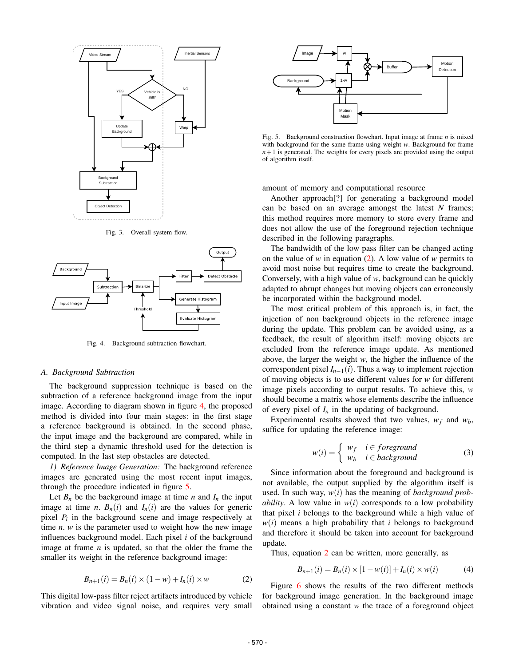

Fig. 3. Overall system flow.



Fig. 4. Background subtraction flowchart.

#### *A. Background Subtraction*

The background suppression technique is based on the subtraction of a reference background image from the input image. According to diagram shown in figure 4, the proposed method is divided into four main stages: in the first stage a reference background is obtained. In the second phase, the input image and the background are compared, while in the third step a dynamic threshold used for the detection is computed. In the last step obstacles are detected.

*1) Reference Image Generation:* The background reference images are generated using the most recent input images, through the procedure indicated in figure 5.

Let  $B_n$  be the background image at time *n* and  $I_n$  the input image at time *n*.  $B_n(i)$  and  $I_n(i)$  are the values for generic pixel  $P_i$  in the background scene and image respectively at time *n*. *w* is the parameter used to weight how the new image influences background model. Each pixel *i* of the background image at frame *n* is updated, so that the older the frame the smaller its weight in the reference background image:

$$
B_{n+1}(i) = B_n(i) \times (1 - w) + I_n(i) \times w \tag{2}
$$

This digital low-pass filter reject artifacts introduced by vehicle vibration and video signal noise, and requires very small



Fig. 5. Background construction flowchart. Input image at frame *n* is mixed with background for the same frame using weight *w*. Background for frame  $n+1$  is generated. The weights for every pixels are provided using the output of algorithm itself.

amount of memory and computational resource

Another approach[?] for generating a background model can be based on an average amongst the latest *N* frames; this method requires more memory to store every frame and does not allow the use of the foreground rejection technique described in the following paragraphs.

The bandwidth of the low pass filter can be changed acting on the value of  $w$  in equation (2). A low value of  $w$  permits to avoid most noise but requires time to create the background. Conversely, with a high value of *w*, background can be quickly adapted to abrupt changes but moving objects can erroneously be incorporated within the background model.

The most critical problem of this approach is, in fact, the injection of non background objects in the reference image during the update. This problem can be avoided using, as a feedback, the result of algorithm itself: moving objects are excluded from the reference image update. As mentioned above, the larger the weight *w*, the higher the influence of the correspondent pixel  $I_{n-1}(i)$ . Thus a way to implement rejection of moving objects is to use different values for *w* for different image pixels according to output results. To achieve this, *w* should become a matrix whose elements describe the influence of every pixel of  $I_n$  in the updating of background.

Experimental results showed that two values,  $w_f$  and  $w_b$ , suffice for updating the reference image:

$$
w(i) = \begin{cases} w_f & i \in foreground \\ w_b & i \in background \end{cases}
$$
 (3)

Since information about the foreground and background is not available, the output supplied by the algorithm itself is used. In such way, *w*(*i*) has the meaning of *background probability*. A low value in  $w(i)$  corresponds to a low probability that pixel *i* belongs to the background while a high value of  $w(i)$  means a high probability that *i* belongs to background and therefore it should be taken into account for background update.

Thus, equation 2 can be written, more generally, as

$$
B_{n+1}(i) = B_n(i) \times [1 - w(i)] + I_n(i) \times w(i)
$$
 (4)

Figure 6 shows the results of the two different methods for background image generation. In the background image obtained using a constant *w* the trace of a foreground object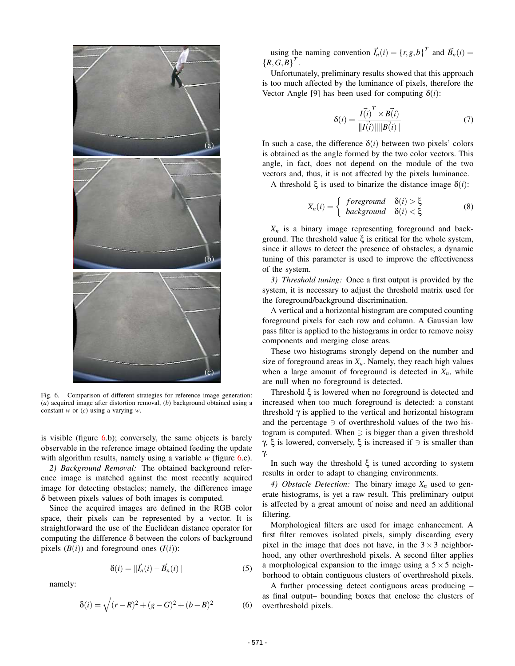

Fig. 6. Comparison of different strategies for reference image generation: (*a*) acquired image after distortion removal, (*b*) background obtained using a constant *w* or (*c*) using a varying *w*.

is visible (figure 6.b); conversely, the same objects is barely observable in the reference image obtained feeding the update with algorithm results, namely using a variable *w* (figure 6.c).

*2) Background Removal:* The obtained background reference image is matched against the most recently acquired image for detecting obstacles; namely, the difference image δ between pixels values of both images is computed.

Since the acquired images are defined in the RGB color space, their pixels can be represented by a vector. It is straightforward the use of the Euclidean distance operator for computing the difference δ between the colors of background pixels  $(B(i))$  and foreground ones  $(I(i))$ :

$$
\delta(i) = \|\vec{I}_n(i) - \vec{B}_n(i)\| \tag{5}
$$

namely:

$$
\delta(i) = \sqrt{(r - R)^2 + (g - G)^2 + (b - B)^2}
$$
 (6)

using the naming convention  $\vec{I}_n(i) = {r, g, b}^T$  and  $\vec{B}_n(i) =$  ${R, G, B}^T$ .

Unfortunately, preliminary results showed that this approach is too much affected by the luminance of pixels, therefore the Vector Angle [9] has been used for computing  $\delta(i)$ :

$$
\delta(i) = \frac{\overrightarrow{I(i)}^T \times \overrightarrow{B(i)}}{\|\overrightarrow{I(i)}\| \|\overrightarrow{B(i)}\|} \tag{7}
$$

In such a case, the difference  $\delta(i)$  between two pixels' colors is obtained as the angle formed by the two color vectors. This angle, in fact, does not depend on the module of the two vectors and, thus, it is not affected by the pixels luminance.

A threshold  $\xi$  is used to binarize the distance image  $\delta(i)$ :

$$
X_n(i) = \begin{cases} \text{ foreground} & \delta(i) > \xi \\ \text{background} & \delta(i) < \xi \end{cases}
$$
 (8)

*X<sup>n</sup>* is a binary image representing foreground and background. The threshold value ξ is critical for the whole system, since it allows to detect the presence of obstacles; a dynamic tuning of this parameter is used to improve the effectiveness of the system.

*3) Threshold tuning:* Once a first output is provided by the system, it is necessary to adjust the threshold matrix used for the foreground/background discrimination.

A vertical and a horizontal histogram are computed counting foreground pixels for each row and column. A Gaussian low pass filter is applied to the histograms in order to remove noisy components and merging close areas.

These two histograms strongly depend on the number and size of foreground areas in  $X_n$ . Namely, they reach high values when a large amount of foreground is detected in  $X_n$ , while are null when no foreground is detected.

Threshold ξ is lowered when no foreground is detected and increased when too much foreground is detected: a constant threshold  $\gamma$  is applied to the vertical and horizontal histogram and the percentage  $\Rightarrow$  of overthreshold values of the two histogram is computed. When  $\ni$  is bigger than a given threshold γ, ξ is lowered, conversely, ξ is increased if  $\exists$  is smaller than γ.

In such way the threshold  $\xi$  is tuned according to system results in order to adapt to changing environments.

*4) Obstacle Detection:* The binary image *X<sup>n</sup>* used to generate histograms, is yet a raw result. This preliminary output is affected by a great amount of noise and need an additional filtering.

Morphological filters are used for image enhancement. A first filter removes isolated pixels, simply discarding every pixel in the image that does not have, in the  $3 \times 3$  neighborhood, any other overthreshold pixels. A second filter applies a morphological expansion to the image using a  $5 \times 5$  neighborhood to obtain contiguous clusters of overthreshold pixels.

A further processing detect contiguous areas producing – as final output– bounding boxes that enclose the clusters of overthreshold pixels.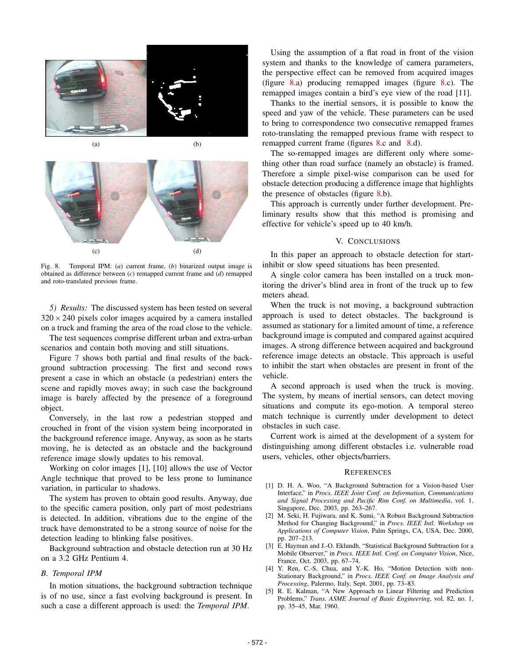

Fig. 8. Temporal IPM: (*a*) current frame, (*b*) binarized output image is obtained as difference between (*c*) remapped current frame and (*d*) remapped and roto-translated previous frame.

*5) Results:* The discussed system has been tested on several  $320 \times 240$  pixels color images acquired by a camera installed on a truck and framing the area of the road close to the vehicle.

The test sequences comprise different urban and extra-urban scenarios and contain both moving and still situations.

Figure 7 shows both partial and final results of the background subtraction processing. The first and second rows present a case in which an obstacle (a pedestrian) enters the scene and rapidly moves away; in such case the background image is barely affected by the presence of a foreground object.

Conversely, in the last row a pedestrian stopped and crouched in front of the vision system being incorporated in the background reference image. Anyway, as soon as he starts moving, he is detected as an obstacle and the background reference image slowly updates to his removal.

Working on color images [1], [10] allows the use of Vector Angle technique that proved to be less prone to luminance variation, in particular to shadows.

The system has proven to obtain good results. Anyway, due to the specific camera position, only part of most pedestrians is detected. In addition, vibrations due to the engine of the truck have demonstrated to be a strong source of noise for the detection leading to blinking false positives.

Background subtraction and obstacle detection run at 30 Hz on a 3.2 GHz Pentium 4.

## *B. Temporal IPM*

In motion situations, the background subtraction technique is of no use, since a fast evolving background is present. In such a case a different approach is used: the *Temporal IPM*.

Using the assumption of a flat road in front of the vision system and thanks to the knowledge of camera parameters, the perspective effect can be removed from acquired images (figure 8.a) producing remapped images (figure 8.c). The remapped images contain a bird's eye view of the road [11].

Thanks to the inertial sensors, it is possible to know the speed and yaw of the vehicle. These parameters can be used to bring to correspondence two consecutive remapped frames roto-translating the remapped previous frame with respect to remapped current frame (figures 8.c and 8.d).

The so-remapped images are different only where something other than road surface (namely an obstacle) is framed. Therefore a simple pixel-wise comparison can be used for obstacle detection producing a difference image that highlights the presence of obstacles (figure 8.b).

This approach is currently under further development. Preliminary results show that this method is promising and effective for vehicle's speed up to 40 km/h.

#### V. CONCLUSIONS

In this paper an approach to obstacle detection for startinhibit or slow speed situations has been presented.

A single color camera has been installed on a truck monitoring the driver's blind area in front of the truck up to few meters ahead.

When the truck is not moving, a background subtraction approach is used to detect obstacles. The background is assumed as stationary for a limited amount of time, a reference background image is computed and compared against acquired images. A strong difference between acquired and background reference image detects an obstacle. This approach is useful to inhibit the start when obstacles are present in front of the vehicle.

A second approach is used when the truck is moving. The system, by means of inertial sensors, can detect moving situations and compute its ego-motion. A temporal stereo match technique is currently under development to detect obstacles in such case.

Current work is aimed at the development of a system for distinguishing among different obstacles i.e. vulnerable road users, vehicles, other objects/barriers.

#### **REFERENCES**

- [1] D. H. A. Woo, "A Background Subtraction for a Vision-based User Interface," in *Procs. IEEE Joint Conf. on Information, Communications and Signal Processing and Pacific Rim Conf. on Multimedia*, vol. 1, Singapore, Dec. 2003, pp. 263–267.
- [2] M. Seki, H. Fujiwara, and K. Sumi, "A Robust Background Subtraction Method for Changing Background," in *Procs. IEEE Intl. Workshop on Applications of Computer Vision*, Palm Springs, CA, USA, Dec. 2000, pp. 207–213.
- [3] E. Hayman and J.-O. Eklundh, "Statistical Background Subtraction for a Mobile Observer," in *Procs. IEEE Intl. Conf. on Computer Vision*, Nice, France, Oct. 2003, pp. 67–74.
- [4] Y. Ren, C.-S. Chua, and Y.-K. Ho, "Motion Detection with non-Stationary Background," in *Procs. IEEE Conf. on Image Analysis and Processing*, Palermo, Italy, Sept. 2001, pp. 73–83.
- [5] R. E. Kalman, "A New Approach to Linear Filtering and Prediction Problems," *Trans. ASME Journal of Basic Engineering*, vol. 82, no. 1, pp. 35–45, Mar. 1960.